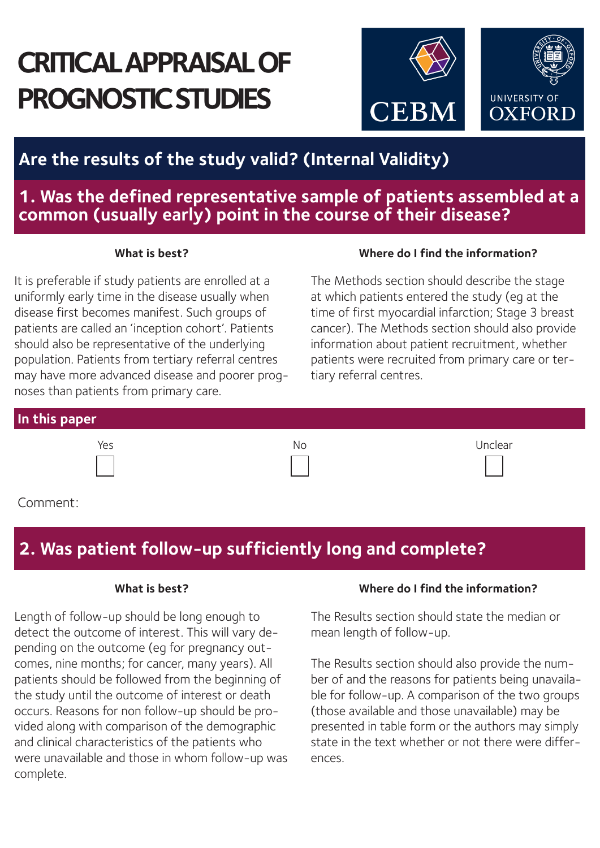# **CRITICAL APPRAISAL OF PROGNOSTIC STUDIES**



# **Are the results of the study valid? (Internal Validity)**

## **1. Was the defined representative sample of patients assembled at a common (usually early) point in the course of their disease?**

It is preferable if study patients are enrolled at a uniformly early time in the disease usually when disease first becomes manifest. Such groups of patients are called an 'inception cohort'. Patients should also be representative of the underlying population. Patients from tertiary referral centres may have more advanced disease and poorer prognoses than patients from primary care.

### **What is best? Where do I find the information?**

The Methods section should describe the stage at which patients entered the study (eg at the time of first myocardial infarction; Stage 3 breast cancer). The Methods section should also provide information about patient recruitment, whether patients were recruited from primary care or tertiary referral centres.

| In this paper |     |         |
|---------------|-----|---------|
| yes           | No. | Inclear |



Comment:

# **2. Was patient follow-up sufficiently long and complete?**

Length of follow-up should be long enough to detect the outcome of interest. This will vary depending on the outcome (eg for pregnancy outcomes, nine months; for cancer, many years). All patients should be followed from the beginning of the study until the outcome of interest or death occurs. Reasons for non follow-up should be provided along with comparison of the demographic and clinical characteristics of the patients who were unavailable and those in whom follow-up was complete.

#### **What is best? Where do I find the information?**

The Results section should state the median or mean length of follow-up.

The Results section should also provide the number of and the reasons for patients being unavailable for follow-up. A comparison of the two groups (those available and those unavailable) may be presented in table form or the authors may simply state in the text whether or not there were differences.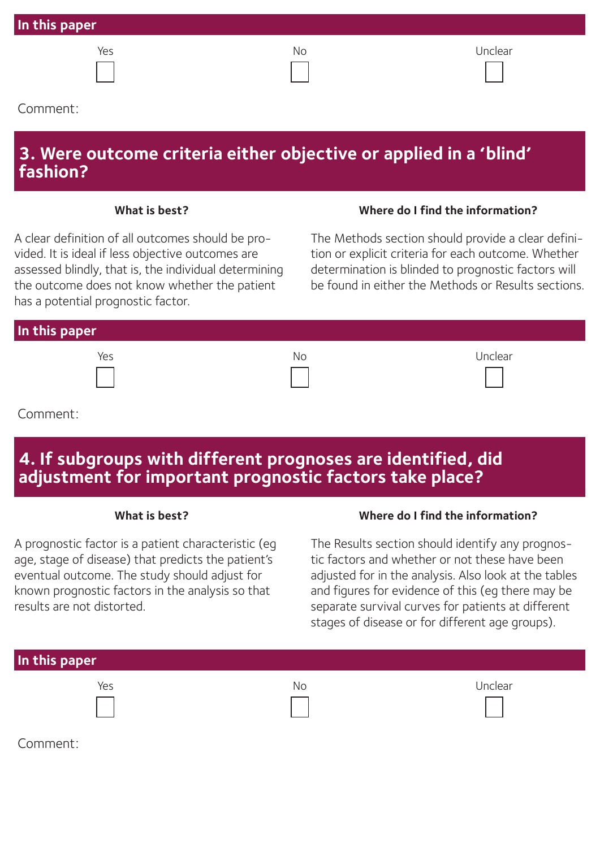| In this paper |    |         |
|---------------|----|---------|
| Yes           | No | Unclear |
| Comment:      |    |         |

## **3. Were outcome criteria either objective or applied in a 'blind' fashion?**

A clear definition of all outcomes should be provided. It is ideal if less objective outcomes are assessed blindly, that is, the individual determining the outcome does not know whether the patient has a potential prognostic factor.

#### **What is best? Where do I find the information?**

The Methods section should provide a clear definition or explicit criteria for each outcome. Whether determination is blinded to prognostic factors will be found in either the Methods or Results sections.

| In this paper |    |         |
|---------------|----|---------|
| Yes           | Νo | Unclear |

### Comment:

# **4. If subgroups with different prognoses are identified, did adjustment for important prognostic factors take place?**

A prognostic factor is a patient characteristic (eg age, stage of disease) that predicts the patient's eventual outcome. The study should adjust for known prognostic factors in the analysis so that results are not distorted.

#### **What is best? Where do I find the information?**

The Results section should identify any prognostic factors and whether or not these have been adjusted for in the analysis. Also look at the tables and figures for evidence of this (eg there may be separate survival curves for patients at different stages of disease or for different age groups).

| In this paper |     |         |
|---------------|-----|---------|
| Yes           | No. | Unclear |
|               |     |         |
|               |     |         |

Comment: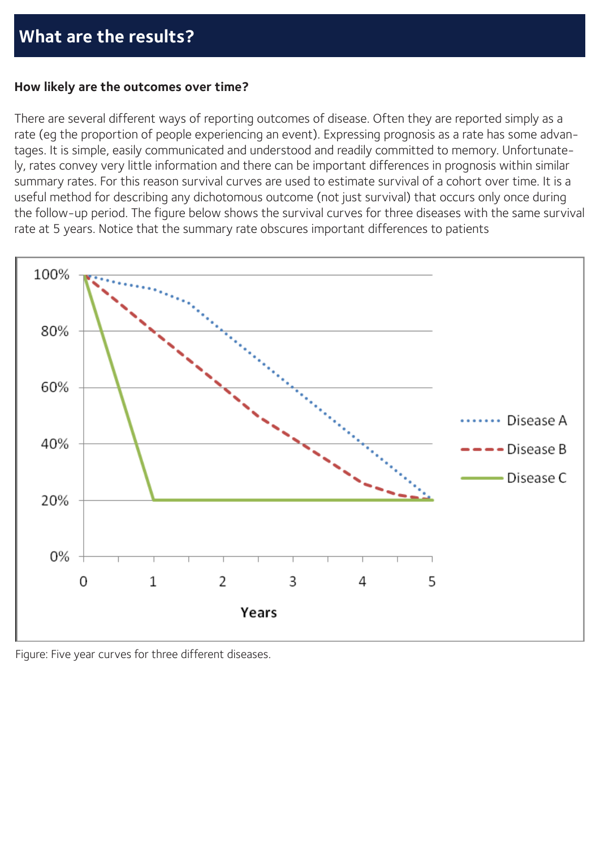### **How likely are the outcomes over time?**

There are several different ways of reporting outcomes of disease. Often they are reported simply as a rate (eg the proportion of people experiencing an event). Expressing prognosis as a rate has some advantages. It is simple, easily communicated and understood and readily committed to memory. Unfortunately, rates convey very little information and there can be important differences in prognosis within similar summary rates. For this reason survival curves are used to estimate survival of a cohort over time. It is a useful method for describing any dichotomous outcome (not just survival) that occurs only once during the follow-up period. The figure below shows the survival curves for three diseases with the same survival rate at 5 years. Notice that the summary rate obscures important differences to patients



Figure: Five year curves for three different diseases.